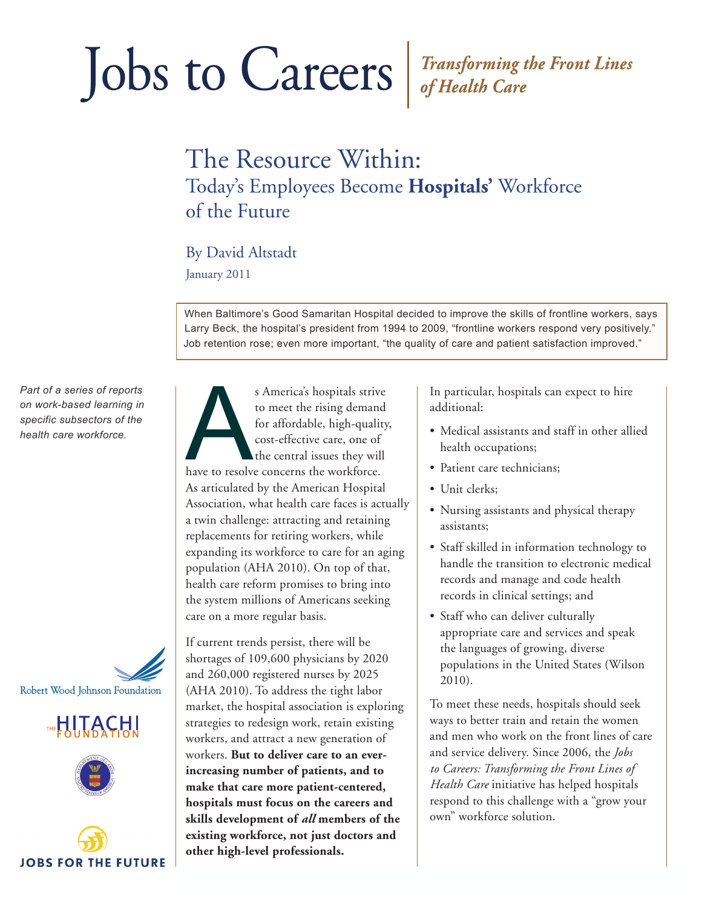# Jobs to Careers Fransforming the Front Lines

### The Resource Within: Today's Employees Become **Hospitals'** Workforce of the Future

#### By David Altstadt

January 2011

When Baltimore's Good Samaritan Hospital decided to improve the skills of frontline workers, says Larry Beck, the hospital's president from 1994 to 2009, "frontline workers respond very positively." Job retention rose; even more important, "the quality of care and patient satisfaction improved."

*Part of a series of reports on work-based learning in specific subsectors of the health care workforce.*









s America's hospitals strive<br>to meet the rising demand<br>for affordable, high-quality<br>cost-effective care, one of<br>the central issues they will<br>have to resolve concerns the workforce. to meet the rising demand for affordable, high-quality, cost-effective care, one of the central issues they will As articulated by the American Hospital Association, what health care faces is actually a twin challenge: attracting and retaining replacements for retiring workers, while expanding its workforce to care for an aging population (AHA 2010). On top of that, health care reform promises to bring into the system millions of Americans seeking care on a more regular basis.

If current trends persist, there will be shortages of 109,600 physicians by 2020 and 260,000 registered nurses by 2025 (AHA 2010). To address the tight labor market, the hospital association is exploring strategies to redesign work, retain existing workers, and attract a new generation of workers. **But to deliver care to an everincreasing number of patients, and to make that care more patient-centered, hospitals must focus on the careers and skills development of** *all* **members of the existing workforce, not just doctors and other high-level professionals.**

In particular, hospitals can expect to hire additional:

- Medical assistants and staff in other allied health occupations;
- Patient care technicians;
- Unit clerks;
- Nursing assistants and physical therapy assistants;
- Staff skilled in information technology to handle the transition to electronic medical records and manage and code health records in clinical settings; and
- Staff who can deliver culturally appropriate care and services and speak the languages of growing, diverse populations in the United States (Wilson 2010).

To meet these needs, hospitals should seek ways to better train and retain the women and men who work on the front lines of care and service delivery. Since 2006, the *Jobs to Careers: Transforming the Front Lines of Health Care* initiative has helped hospitals respond to this challenge with a "grow your own" workforce solution.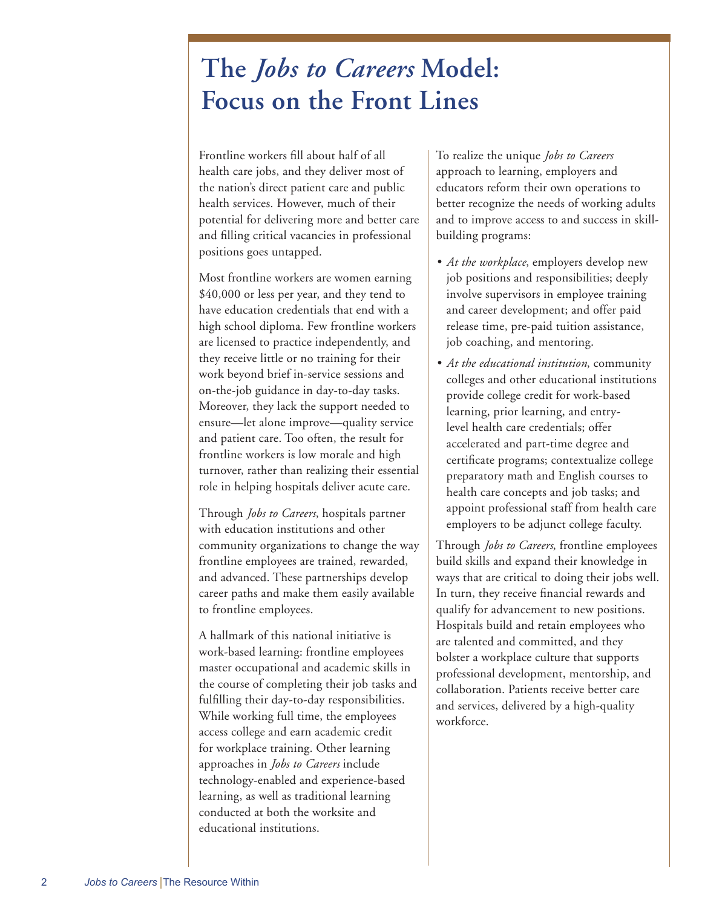## **The** *Jobs to Careers* **Model: Focus on the Front Lines**

Frontline workers fill about half of all health care jobs, and they deliver most of the nation's direct patient care and public health services. However, much of their potential for delivering more and better care and filling critical vacancies in professional positions goes untapped.

Most frontline workers are women earning \$40,000 or less per year, and they tend to have education credentials that end with a high school diploma. Few frontline workers are licensed to practice independently, and they receive little or no training for their work beyond brief in-service sessions and on-the-job guidance in day-to-day tasks. Moreover, they lack the support needed to ensure—let alone improve—quality service and patient care. Too often, the result for frontline workers is low morale and high turnover, rather than realizing their essential role in helping hospitals deliver acute care.

Through *Jobs to Careers*, hospitals partner with education institutions and other community organizations to change the way frontline employees are trained, rewarded, and advanced. These partnerships develop career paths and make them easily available to frontline employees.

A hallmark of this national initiative is work-based learning: frontline employees master occupational and academic skills in the course of completing their job tasks and fulfilling their day-to-day responsibilities. While working full time, the employees access college and earn academic credit for workplace training. Other learning approaches in *Jobs to Careers* include technology-enabled and experience-based learning, as well as traditional learning conducted at both the worksite and educational institutions.

To realize the unique *Jobs to Careers* approach to learning, employers and educators reform their own operations to better recognize the needs of working adults and to improve access to and success in skillbuilding programs:

- *• At the workplace*, employers develop new job positions and responsibilities; deeply involve supervisors in employee training and career development; and offer paid release time, pre-paid tuition assistance, job coaching, and mentoring.
- *• At the educational institution*, community colleges and other educational institutions provide college credit for work-based learning, prior learning, and entrylevel health care credentials; offer accelerated and part-time degree and certificate programs; contextualize college preparatory math and English courses to health care concepts and job tasks; and appoint professional staff from health care employers to be adjunct college faculty.

Through *Jobs to Careers*, frontline employees build skills and expand their knowledge in ways that are critical to doing their jobs well. In turn, they receive financial rewards and qualify for advancement to new positions. Hospitals build and retain employees who are talented and committed, and they bolster a workplace culture that supports professional development, mentorship, and collaboration. Patients receive better care and services, delivered by a high-quality workforce.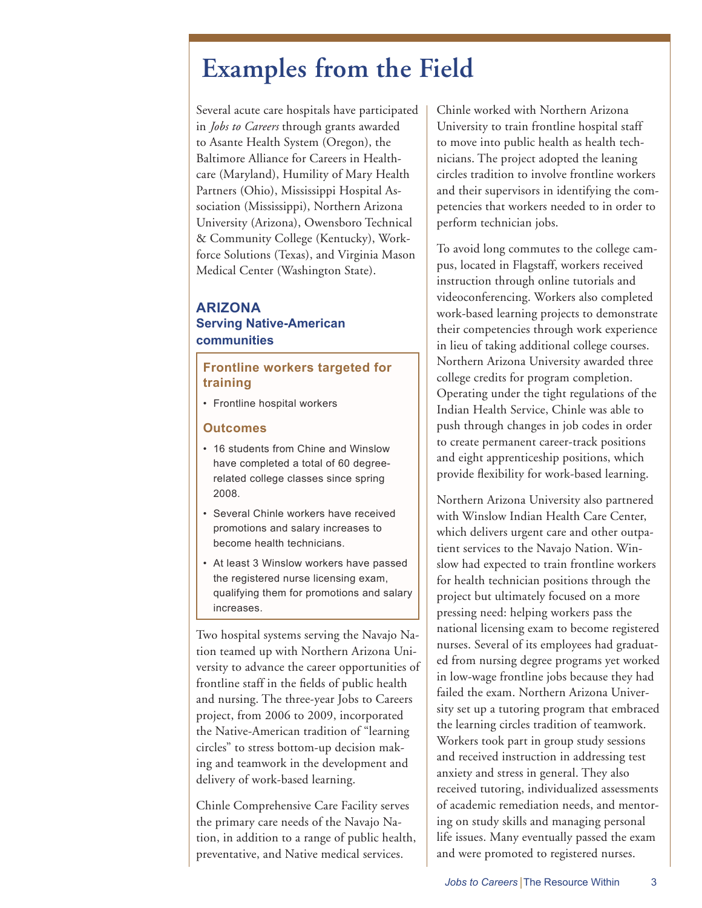## **Examples from the Field**

Several acute care hospitals have participated in *Jobs to Careers* through grants awarded to Asante Health System (Oregon), the Baltimore Alliance for Careers in Healthcare (Maryland), Humility of Mary Health Partners (Ohio), Mississippi Hospital Association (Mississippi), Northern Arizona University (Arizona), Owensboro Technical & Community College (Kentucky), Workforce Solutions (Texas), and Virginia Mason Medical Center (Washington State).

#### **ARIZONA Serving Native-American communities**

#### **Frontline workers targeted for training**

• Frontline hospital workers

#### **Outcomes**

- 16 students from Chine and Winslow have completed a total of 60 degreerelated college classes since spring 2008.
- Several Chinle workers have received promotions and salary increases to become health technicians.
- At least 3 Winslow workers have passed the registered nurse licensing exam, qualifying them for promotions and salary increases.

Two hospital systems serving the Navajo Nation teamed up with Northern Arizona University to advance the career opportunities of frontline staff in the fields of public health and nursing. The three-year Jobs to Careers project, from 2006 to 2009, incorporated the Native-American tradition of "learning circles" to stress bottom-up decision making and teamwork in the development and delivery of work-based learning.

Chinle Comprehensive Care Facility serves the primary care needs of the Navajo Nation, in addition to a range of public health, preventative, and Native medical services.

Chinle worked with Northern Arizona University to train frontline hospital staff to move into public health as health technicians. The project adopted the leaning circles tradition to involve frontline workers and their supervisors in identifying the competencies that workers needed to in order to perform technician jobs.

To avoid long commutes to the college campus, located in Flagstaff, workers received instruction through online tutorials and videoconferencing. Workers also completed work-based learning projects to demonstrate their competencies through work experience in lieu of taking additional college courses. Northern Arizona University awarded three college credits for program completion. Operating under the tight regulations of the Indian Health Service, Chinle was able to push through changes in job codes in order to create permanent career-track positions and eight apprenticeship positions, which provide flexibility for work-based learning.

Northern Arizona University also partnered with Winslow Indian Health Care Center, which delivers urgent care and other outpatient services to the Navajo Nation. Winslow had expected to train frontline workers for health technician positions through the project but ultimately focused on a more pressing need: helping workers pass the national licensing exam to become registered nurses. Several of its employees had graduated from nursing degree programs yet worked in low-wage frontline jobs because they had failed the exam. Northern Arizona University set up a tutoring program that embraced the learning circles tradition of teamwork. Workers took part in group study sessions and received instruction in addressing test anxiety and stress in general. They also received tutoring, individualized assessments of academic remediation needs, and mentoring on study skills and managing personal life issues. Many eventually passed the exam and were promoted to registered nurses.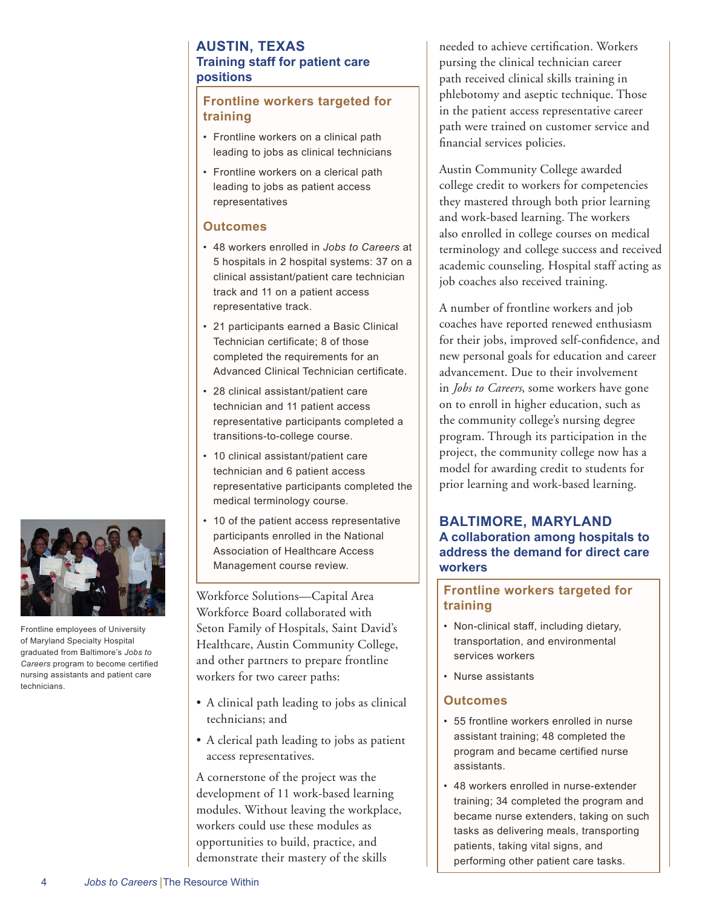#### **AUSTIN, TEXAS Training staff for patient care positions**

#### **Frontline workers targeted for training**

- Frontline workers on a clinical path leading to jobs as clinical technicians
- Frontline workers on a clerical path leading to jobs as patient access representatives

#### **Outcomes**

- 48 workers enrolled in *Jobs to Careers* at 5 hospitals in 2 hospital systems: 37 on a clinical assistant/patient care technician track and 11 on a patient access representative track.
- 21 participants earned a Basic Clinical Technician certificate; 8 of those completed the requirements for an Advanced Clinical Technician certificate.
- 28 clinical assistant/patient care technician and 11 patient access representative participants completed a transitions-to-college course.
- 10 clinical assistant/patient care technician and 6 patient access representative participants completed the medical terminology course.
- 10 of the patient access representative participants enrolled in the National Association of Healthcare Access Management course review.

Workforce Solutions—Capital Area Workforce Board collaborated with Seton Family of Hospitals, Saint David's Healthcare, Austin Community College, and other partners to prepare frontline workers for two career paths:

- A clinical path leading to jobs as clinical technicians; and
- A clerical path leading to jobs as patient access representatives.

A cornerstone of the project was the development of 11 work-based learning modules. Without leaving the workplace, workers could use these modules as opportunities to build, practice, and demonstrate their mastery of the skills

needed to achieve certification. Workers pursing the clinical technician career path received clinical skills training in phlebotomy and aseptic technique. Those in the patient access representative career path were trained on customer service and financial services policies.

Austin Community College awarded college credit to workers for competencies they mastered through both prior learning and work-based learning. The workers also enrolled in college courses on medical terminology and college success and received academic counseling. Hospital staff acting as job coaches also received training.

A number of frontline workers and job coaches have reported renewed enthusiasm for their jobs, improved self-confidence, and new personal goals for education and career advancement. Due to their involvement in *Jobs to Careers*, some workers have gone on to enroll in higher education, such as the community college's nursing degree program. Through its participation in the project, the community college now has a model for awarding credit to students for prior learning and work-based learning.

#### **BALTIMORE, MARYLAND A collaboration among hospitals to address the demand for direct care workers**

#### **Frontline workers targeted for training**

- Non-clinical staff, including dietary, transportation, and environmental services workers
- Nurse assistants

#### **Outcomes**

- 55 frontline workers enrolled in nurse assistant training; 48 completed the program and became certified nurse assistants.
- 48 workers enrolled in nurse-extender training; 34 completed the program and became nurse extenders, taking on such tasks as delivering meals, transporting patients, taking vital signs, and performing other patient care tasks.



Frontline employees of University of Maryland Specialty Hospital graduated from Baltimore's *Jobs to Careers* program to become certified nursing assistants and patient care technicians.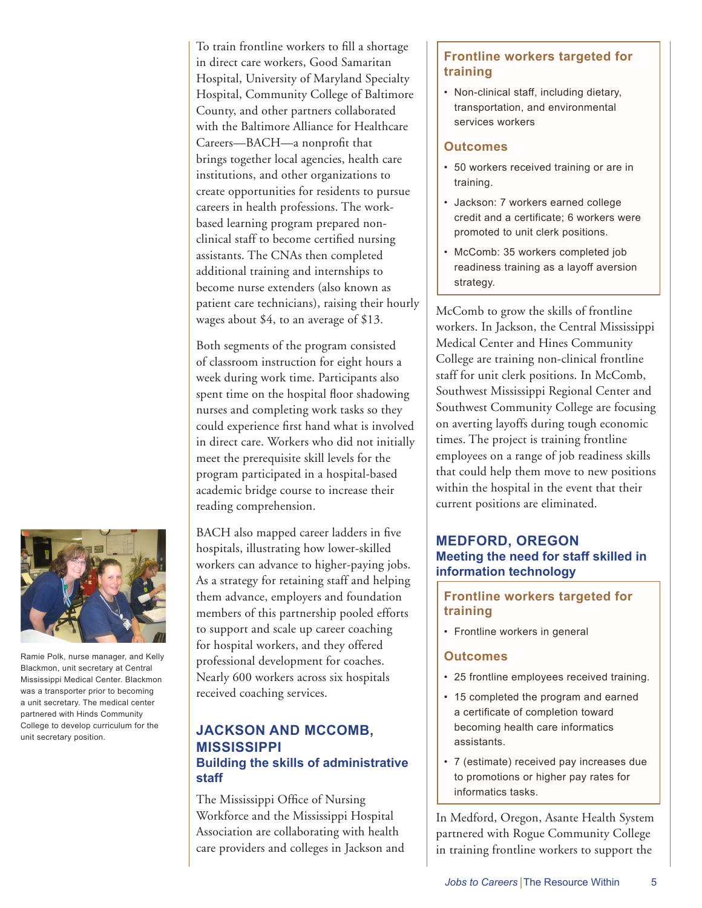To train frontline workers to fill a shortage in direct care workers, Good Samaritan Hospital, University of Maryland Specialty Hospital, Community College of Baltimore County, and other partners collaborated with the Baltimore Alliance for Healthcare Careers—BACH—a nonprofit that brings together local agencies, health care institutions, and other organizations to create opportunities for residents to pursue careers in health professions. The workbased learning program prepared nonclinical staff to become certified nursing assistants. The CNAs then completed additional training and internships to become nurse extenders (also known as patient care technicians), raising their hourly wages about \$4, to an average of \$13.

Both segments of the program consisted of classroom instruction for eight hours a week during work time. Participants also spent time on the hospital floor shadowing nurses and completing work tasks so they could experience first hand what is involved in direct care. Workers who did not initially meet the prerequisite skill levels for the program participated in a hospital-based academic bridge course to increase their reading comprehension.

BACH also mapped career ladders in five hospitals, illustrating how lower-skilled workers can advance to higher-paying jobs. As a strategy for retaining staff and helping them advance, employers and foundation members of this partnership pooled efforts to support and scale up career coaching for hospital workers, and they offered professional development for coaches. Nearly 600 workers across six hospitals received coaching services.

#### **JACKSON AND MCCOMB, MISSISSIPPI Building the skills of administrative staff**

The Mississippi Office of Nursing Workforce and the Mississippi Hospital Association are collaborating with health care providers and colleges in Jackson and

#### **Frontline workers targeted for training**

• Non-clinical staff, including dietary, transportation, and environmental services workers

#### **Outcomes**

- 50 workers received training or are in training.
- Jackson: 7 workers earned college credit and a certificate; 6 workers were promoted to unit clerk positions.
- McComb: 35 workers completed job readiness training as a layoff aversion strategy.

McComb to grow the skills of frontline workers. In Jackson, the Central Mississippi Medical Center and Hines Community College are training non-clinical frontline staff for unit clerk positions. In McComb, Southwest Mississippi Regional Center and Southwest Community College are focusing on averting layoffs during tough economic times. The project is training frontline employees on a range of job readiness skills that could help them move to new positions within the hospital in the event that their current positions are eliminated.

#### **MEDFORD, OREGON Meeting the need for staff skilled in information technology**

#### **Frontline workers targeted for training**

• Frontline workers in general

#### **Outcomes**

- 25 frontline employees received training.
- 15 completed the program and earned a certificate of completion toward becoming health care informatics assistants.
- 7 (estimate) received pay increases due to promotions or higher pay rates for informatics tasks.

In Medford, Oregon, Asante Health System partnered with Rogue Community College in training frontline workers to support the



Ramie Polk, nurse manager, and Kelly Blackmon, unit secretary at Central Mississippi Medical Center. Blackmon was a transporter prior to becoming a unit secretary. The medical center partnered with Hinds Community College to develop curriculum for the unit secretary position.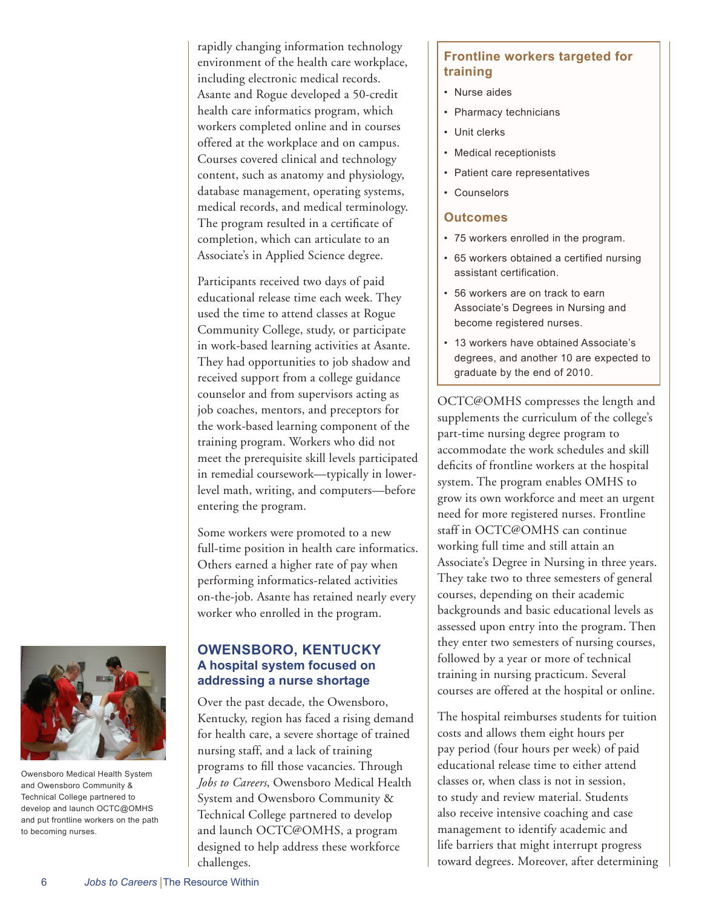rapidly changing information technology environment of the health care workplace, including electronic medical records. Asante and Rogue developed a 50-credit health care informatics program, which workers completed online and in courses offered at the workplace and on campus. Courses covered clinical and technology content, such as anatomy and physiology, database management, operating systems, medical records, and medical terminology. The program resulted in a certificate of completion, which can articulate to an Associate's in Applied Science degree.

Participants received two days of paid educational release time each week. They used the time to attend classes at Rogue Community College, study, or participate in work-based learning activities at Asante. They had opportunities to job shadow and received support from a college guidance counselor and from supervisors acting as job coaches, mentors, and preceptors for the work-based learning component of the training program. Workers who did not meet the prerequisite skill levels participated in remedial coursework—typically in lowerlevel math, writing, and computers—before entering the program.

Some workers were promoted to a new full-time position in health care informatics. Others earned a higher rate of pay when performing informatics-related activities on-the-job. Asante has retained nearly every worker who enrolled in the program.

#### **OWENSBORO, KENTUCKY A hospital system focused on addressing a nurse shortage**

Over the past decade, the Owensboro, Kentucky, region has faced a rising demand for health care, a severe shortage of trained nursing staff, and a lack of training programs to fill those vacancies. Through *Jobs to Careers*, Owensboro Medical Health System and Owensboro Community & Technical College partnered to develop and launch OCTC@OMHS, a program designed to help address these workforce challenges.

#### **Frontline workers targeted for training**

- Nurse aides
- Pharmacy technicians
- Unit clerks
- Medical receptionists
- Patient care representatives
- Counselors

#### **Outcomes**

- 75 workers enrolled in the program.
- 65 workers obtained a certified nursing assistant certification.
- 56 workers are on track to earn Associate's Degrees in Nursing and become registered nurses.
- 13 workers have obtained Associate's degrees, and another 10 are expected to graduate by the end of 2010.

OCTC@OMHS compresses the length and supplements the curriculum of the college's part-time nursing degree program to accommodate the work schedules and skill deficits of frontline workers at the hospital system. The program enables OMHS to grow its own workforce and meet an urgent need for more registered nurses. Frontline staff in OCTC@OMHS can continue working full time and still attain an Associate's Degree in Nursing in three years. They take two to three semesters of general courses, depending on their academic backgrounds and basic educational levels as assessed upon entry into the program. Then they enter two semesters of nursing courses, followed by a year or more of technical training in nursing practicum. Several courses are offered at the hospital or online.

The hospital reimburses students for tuition costs and allows them eight hours per pay period (four hours per week) of paid educational release time to either attend classes or, when class is not in session, to study and review material. Students also receive intensive coaching and case management to identify academic and life barriers that might interrupt progress toward degrees. Moreover, after determining



Owensboro Medical Health System and Owensboro Community & Technical College partnered to develop and launch OCTC@OMHS and put frontline workers on the path to becoming nurses.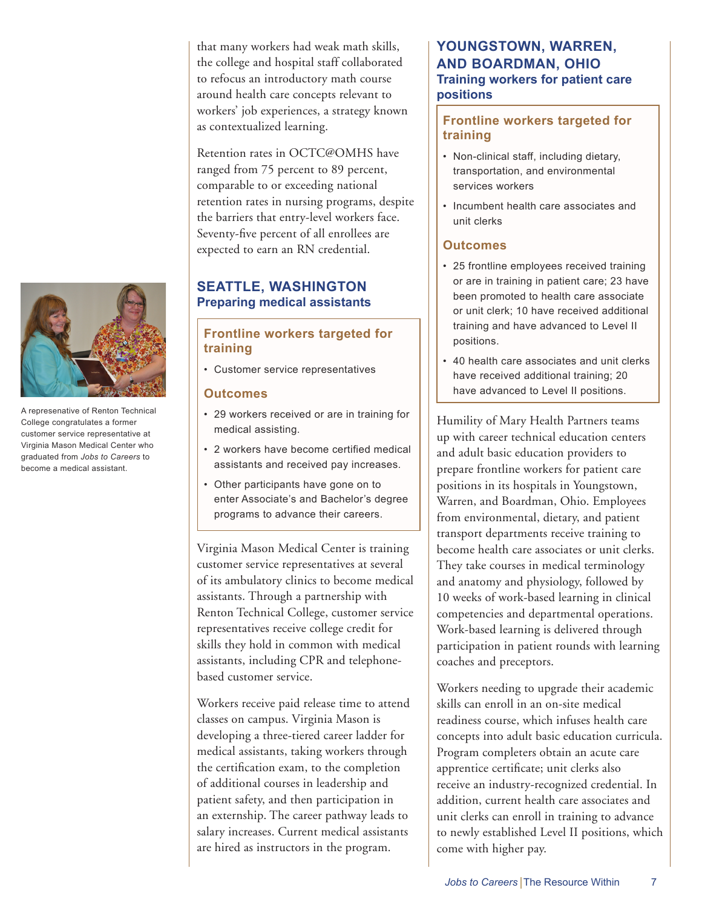that many workers had weak math skills, the college and hospital staff collaborated to refocus an introductory math course around health care concepts relevant to workers' job experiences, a strategy known as contextualized learning.

Retention rates in OCTC@OMHS have ranged from 75 percent to 89 percent, comparable to or exceeding national retention rates in nursing programs, despite the barriers that entry-level workers face. Seventy-five percent of all enrollees are expected to earn an RN credential.

#### **SEATTLE, WASHINGTON Preparing medical assistants**

#### **Frontline workers targeted for training**

• Customer service representatives

#### **Outcomes**

- 29 workers received or are in training for medical assisting.
- 2 workers have become certified medical assistants and received pay increases.
- Other participants have gone on to enter Associate's and Bachelor's degree programs to advance their careers.

Virginia Mason Medical Center is training customer service representatives at several of its ambulatory clinics to become medical assistants. Through a partnership with Renton Technical College, customer service representatives receive college credit for skills they hold in common with medical assistants, including CPR and telephonebased customer service.

Workers receive paid release time to attend classes on campus. Virginia Mason is developing a three-tiered career ladder for medical assistants, taking workers through the certification exam, to the completion of additional courses in leadership and patient safety, and then participation in an externship. The career pathway leads to salary increases. Current medical assistants are hired as instructors in the program.

#### **YOUNGSTOWN, WARREN, AND BOARDMAN, OHIO Training workers for patient care positions**

#### **Frontline workers targeted for training**

- Non-clinical staff, including dietary, transportation, and environmental services workers
- Incumbent health care associates and unit clerks

#### **Outcomes**

- 25 frontline employees received training or are in training in patient care; 23 have been promoted to health care associate or unit clerk; 10 have received additional training and have advanced to Level II positions.
- 40 health care associates and unit clerks have received additional training; 20 have advanced to Level II positions.

Humility of Mary Health Partners teams up with career technical education centers and adult basic education providers to prepare frontline workers for patient care positions in its hospitals in Youngstown, Warren, and Boardman, Ohio. Employees from environmental, dietary, and patient transport departments receive training to become health care associates or unit clerks. They take courses in medical terminology and anatomy and physiology, followed by 10 weeks of work-based learning in clinical competencies and departmental operations. Work-based learning is delivered through participation in patient rounds with learning coaches and preceptors.

Workers needing to upgrade their academic skills can enroll in an on-site medical readiness course, which infuses health care concepts into adult basic education curricula. Program completers obtain an acute care apprentice certificate; unit clerks also receive an industry-recognized credential. In addition, current health care associates and unit clerks can enroll in training to advance to newly established Level II positions, which come with higher pay.



A represenative of Renton Technical College congratulates a former customer service representative at Virginia Mason Medical Center who graduated from *Jobs to Careers* to become a medical assistant.